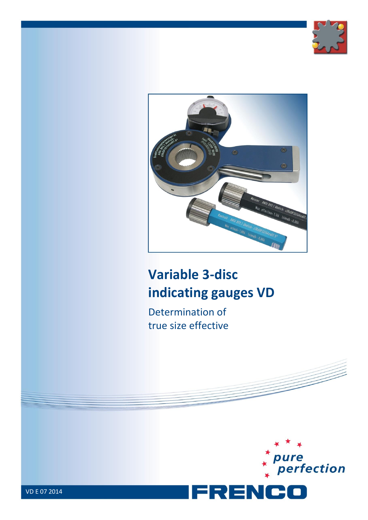



# **Variable 3-disc indicating gauges VD**

Determination of true size effective

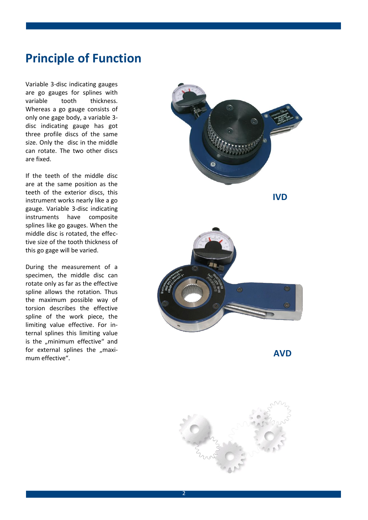### **Principle of Function**

Variable 3-disc indicating gauges are go gauges for splines with variable tooth thickness. Whereas a go gauge consists of only one gage body, a variable 3 disc indicating gauge has got three profile discs of the same size. Only the disc in the middle can rotate. The two other discs are fixed.

If the teeth of the middle disc are at the same position as the teeth of the exterior discs, this instrument works nearly like a go gauge. Variable 3-disc indicating instruments have composite splines like go gauges. When the middle disc is rotated, the effective size of the tooth thickness of this go gage will be varied.

During the measurement of a specimen, the middle disc can rotate only as far as the effective spline allows the rotation. Thus the maximum possible way of torsion describes the effective spline of the work piece, the limiting value effective. For internal splines this limiting value is the ..minimum effective" and for external splines the ..maximum effective".



**AVD**

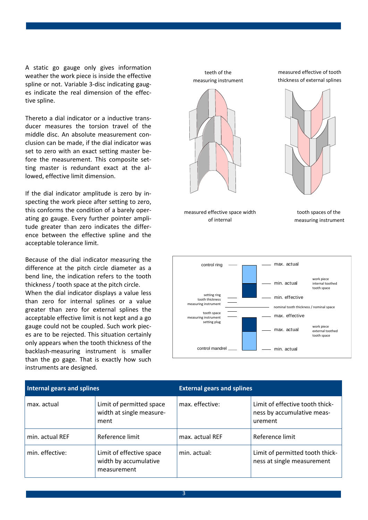A static go gauge only gives information weather the work piece is inside the effective spline or not. Variable 3-disc indicating gauges indicate the real dimension of the effective spline.

Thereto a dial indicator or a inductive transducer measures the torsion travel of the middle disc. An absolute measurement conclusion can be made, if the dial indicator was set to zero with an exact setting master before the measurement. This composite setting master is redundant exact at the allowed, effective limit dimension.

If the dial indicator amplitude is zero by inspecting the work piece after setting to zero, this conforms the condition of a barely operating go gauge. Every further pointer amplitude greater than zero indicates the difference between the effective spline and the acceptable tolerance limit.

Because of the dial indicator measuring the difference at the pitch circle diameter as a bend line, the indication refers to the tooth thickness / tooth space at the pitch circle. When the dial indicator displays a value less than zero for internal splines or a value greater than zero for external splines the acceptable effective limit is not kept and a go gauge could not be coupled. Such work pieces are to be rejected. This situation certainly only appears when the tooth thickness of the backlash-measuring instrument is smaller than the go gage. That is exactly how such instruments are designed.



| Internal gears and splines |                                                                  | <b>External gears and splines</b> |                                                                          |
|----------------------------|------------------------------------------------------------------|-----------------------------------|--------------------------------------------------------------------------|
| max. actual                | Limit of permitted space<br>width at single measure-<br>ment     | max. effective:                   | Limit of effective tooth thick-<br>ness by accumulative meas-<br>urement |
| min. actual REF            | Reference limit                                                  | max. actual REF                   | Reference limit                                                          |
| min. effective:            | Limit of effective space<br>width by accumulative<br>measurement | min. actual:                      | Limit of permitted tooth thick-<br>ness at single measurement            |